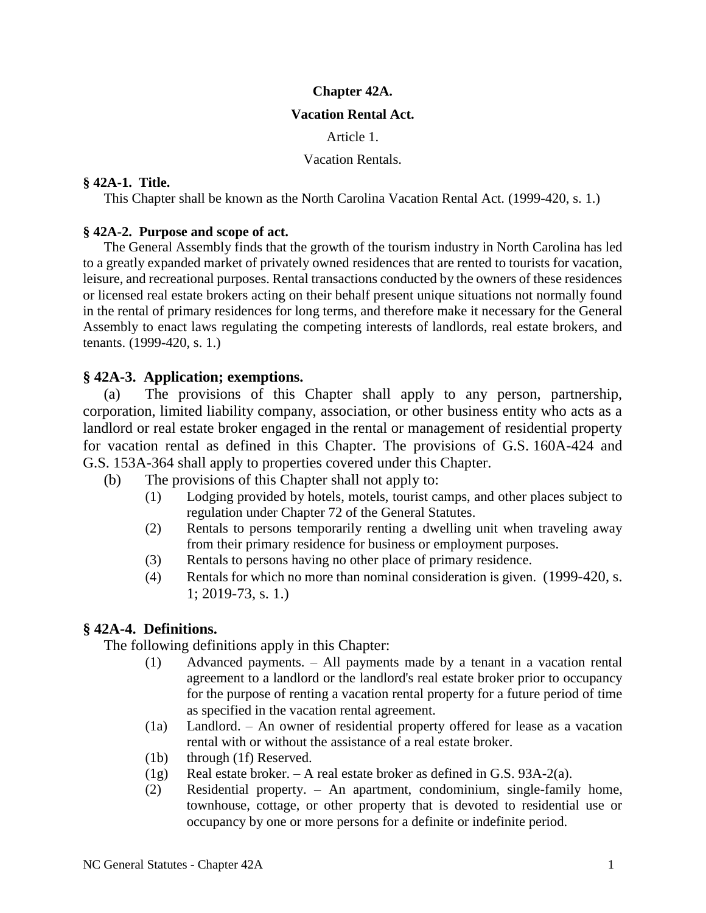### **Chapter 42A.**

### **Vacation Rental Act.**

Article 1.

Vacation Rentals.

### **§ 42A-1. Title.**

This Chapter shall be known as the North Carolina Vacation Rental Act. (1999-420, s. 1.)

## **§ 42A-2. Purpose and scope of act.**

The General Assembly finds that the growth of the tourism industry in North Carolina has led to a greatly expanded market of privately owned residences that are rented to tourists for vacation, leisure, and recreational purposes. Rental transactions conducted by the owners of these residences or licensed real estate brokers acting on their behalf present unique situations not normally found in the rental of primary residences for long terms, and therefore make it necessary for the General Assembly to enact laws regulating the competing interests of landlords, real estate brokers, and tenants. (1999-420, s. 1.)

## **§ 42A-3. Application; exemptions.**

(a) The provisions of this Chapter shall apply to any person, partnership, corporation, limited liability company, association, or other business entity who acts as a landlord or real estate broker engaged in the rental or management of residential property for vacation rental as defined in this Chapter. The provisions of G.S. 160A-424 and G.S. 153A-364 shall apply to properties covered under this Chapter.

- (b) The provisions of this Chapter shall not apply to:
	- (1) Lodging provided by hotels, motels, tourist camps, and other places subject to regulation under Chapter 72 of the General Statutes.
	- (2) Rentals to persons temporarily renting a dwelling unit when traveling away from their primary residence for business or employment purposes.
	- (3) Rentals to persons having no other place of primary residence.
	- (4) Rentals for which no more than nominal consideration is given. (1999-420, s. 1; 2019-73, s. 1.)

# **§ 42A-4. Definitions.**

The following definitions apply in this Chapter:

- (1) Advanced payments. All payments made by a tenant in a vacation rental agreement to a landlord or the landlord's real estate broker prior to occupancy for the purpose of renting a vacation rental property for a future period of time as specified in the vacation rental agreement.
- (1a) Landlord. An owner of residential property offered for lease as a vacation rental with or without the assistance of a real estate broker.
- (1b) through (1f) Reserved.
- (1g) Real estate broker. A real estate broker as defined in G.S. 93A-2(a).
- (2) Residential property. An apartment, condominium, single-family home, townhouse, cottage, or other property that is devoted to residential use or occupancy by one or more persons for a definite or indefinite period.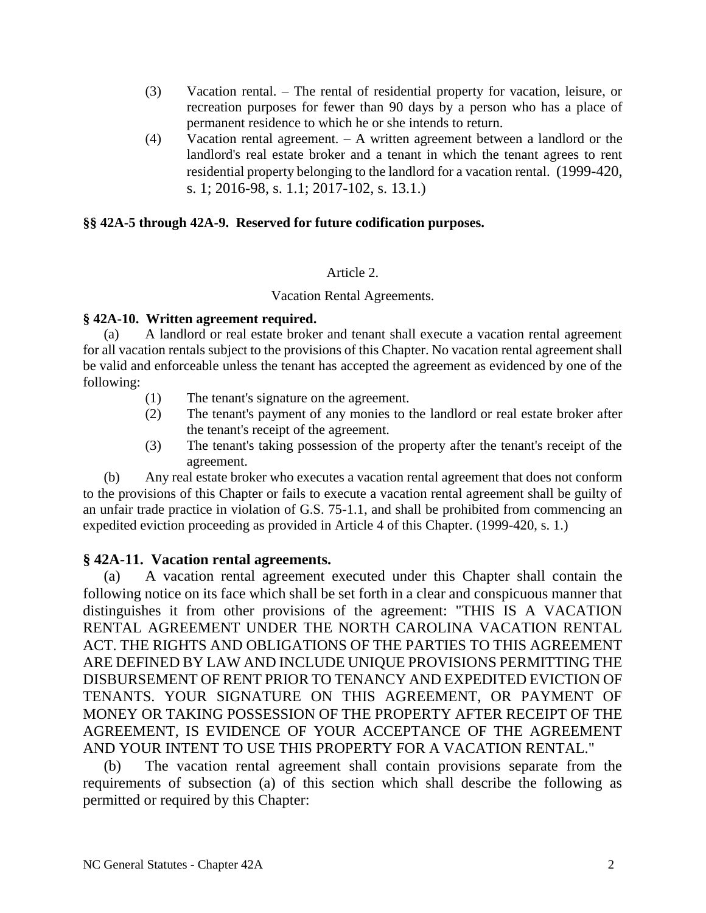- (3) Vacation rental. The rental of residential property for vacation, leisure, or recreation purposes for fewer than 90 days by a person who has a place of permanent residence to which he or she intends to return.
- (4) Vacation rental agreement. A written agreement between a landlord or the landlord's real estate broker and a tenant in which the tenant agrees to rent residential property belonging to the landlord for a vacation rental. (1999-420, s. 1; 2016-98, s. 1.1; 2017-102, s. 13.1.)

## **§§ 42A-5 through 42A-9. Reserved for future codification purposes.**

## Article 2.

## Vacation Rental Agreements.

## **§ 42A-10. Written agreement required.**

(a) A landlord or real estate broker and tenant shall execute a vacation rental agreement for all vacation rentals subject to the provisions of this Chapter. No vacation rental agreement shall be valid and enforceable unless the tenant has accepted the agreement as evidenced by one of the following:

- (1) The tenant's signature on the agreement.
- (2) The tenant's payment of any monies to the landlord or real estate broker after the tenant's receipt of the agreement.
- (3) The tenant's taking possession of the property after the tenant's receipt of the agreement.

(b) Any real estate broker who executes a vacation rental agreement that does not conform to the provisions of this Chapter or fails to execute a vacation rental agreement shall be guilty of an unfair trade practice in violation of G.S. 75-1.1, and shall be prohibited from commencing an expedited eviction proceeding as provided in Article 4 of this Chapter. (1999-420, s. 1.)

## **§ 42A-11. Vacation rental agreements.**

(a) A vacation rental agreement executed under this Chapter shall contain the following notice on its face which shall be set forth in a clear and conspicuous manner that distinguishes it from other provisions of the agreement: "THIS IS A VACATION RENTAL AGREEMENT UNDER THE NORTH CAROLINA VACATION RENTAL ACT. THE RIGHTS AND OBLIGATIONS OF THE PARTIES TO THIS AGREEMENT ARE DEFINED BY LAW AND INCLUDE UNIQUE PROVISIONS PERMITTING THE DISBURSEMENT OF RENT PRIOR TO TENANCY AND EXPEDITED EVICTION OF TENANTS. YOUR SIGNATURE ON THIS AGREEMENT, OR PAYMENT OF MONEY OR TAKING POSSESSION OF THE PROPERTY AFTER RECEIPT OF THE AGREEMENT, IS EVIDENCE OF YOUR ACCEPTANCE OF THE AGREEMENT AND YOUR INTENT TO USE THIS PROPERTY FOR A VACATION RENTAL."

(b) The vacation rental agreement shall contain provisions separate from the requirements of subsection (a) of this section which shall describe the following as permitted or required by this Chapter: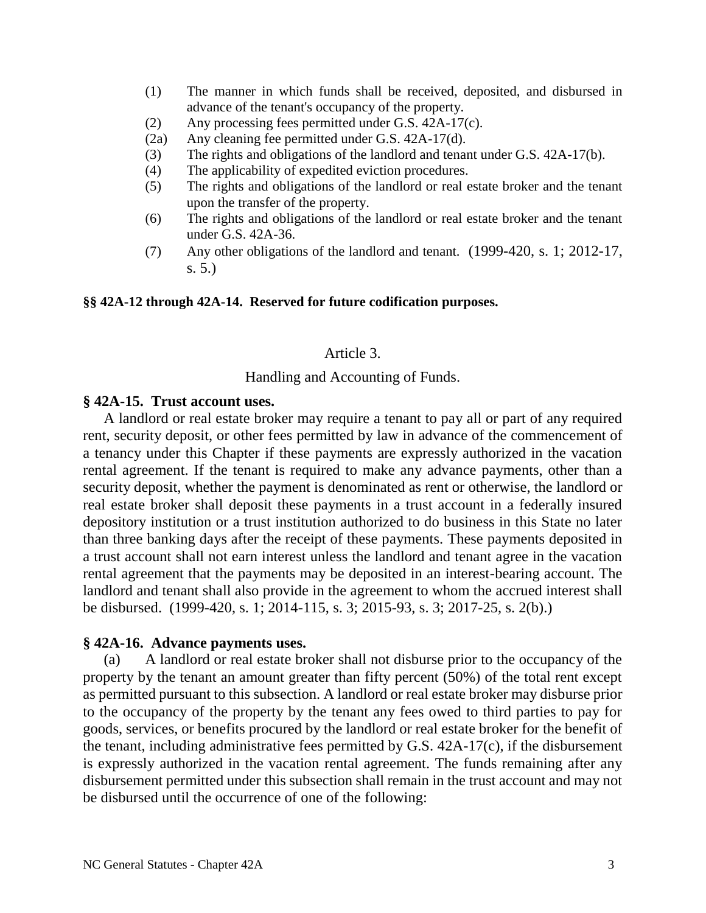- (1) The manner in which funds shall be received, deposited, and disbursed in advance of the tenant's occupancy of the property.
- (2) Any processing fees permitted under G.S. 42A-17(c).
- (2a) Any cleaning fee permitted under G.S. 42A-17(d).
- (3) The rights and obligations of the landlord and tenant under G.S. 42A-17(b).
- (4) The applicability of expedited eviction procedures.
- (5) The rights and obligations of the landlord or real estate broker and the tenant upon the transfer of the property.
- (6) The rights and obligations of the landlord or real estate broker and the tenant under G.S. 42A-36.
- (7) Any other obligations of the landlord and tenant. (1999-420, s. 1; 2012-17, s. 5.)

#### **§§ 42A-12 through 42A-14. Reserved for future codification purposes.**

### Article 3.

## Handling and Accounting of Funds.

#### **§ 42A-15. Trust account uses.**

A landlord or real estate broker may require a tenant to pay all or part of any required rent, security deposit, or other fees permitted by law in advance of the commencement of a tenancy under this Chapter if these payments are expressly authorized in the vacation rental agreement. If the tenant is required to make any advance payments, other than a security deposit, whether the payment is denominated as rent or otherwise, the landlord or real estate broker shall deposit these payments in a trust account in a federally insured depository institution or a trust institution authorized to do business in this State no later than three banking days after the receipt of these payments. These payments deposited in a trust account shall not earn interest unless the landlord and tenant agree in the vacation rental agreement that the payments may be deposited in an interest-bearing account. The landlord and tenant shall also provide in the agreement to whom the accrued interest shall be disbursed. (1999-420, s. 1; 2014-115, s. 3; 2015-93, s. 3; 2017-25, s. 2(b).)

#### **§ 42A-16. Advance payments uses.**

(a) A landlord or real estate broker shall not disburse prior to the occupancy of the property by the tenant an amount greater than fifty percent (50%) of the total rent except as permitted pursuant to this subsection. A landlord or real estate broker may disburse prior to the occupancy of the property by the tenant any fees owed to third parties to pay for goods, services, or benefits procured by the landlord or real estate broker for the benefit of the tenant, including administrative fees permitted by G.S. 42A-17(c), if the disbursement is expressly authorized in the vacation rental agreement. The funds remaining after any disbursement permitted under this subsection shall remain in the trust account and may not be disbursed until the occurrence of one of the following: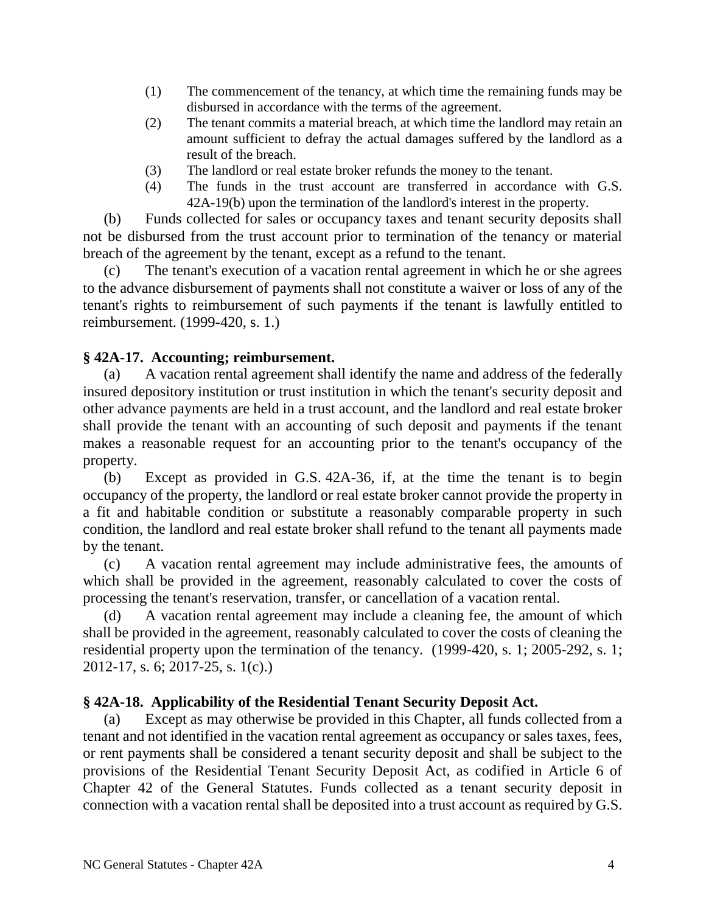- (1) The commencement of the tenancy, at which time the remaining funds may be disbursed in accordance with the terms of the agreement.
- (2) The tenant commits a material breach, at which time the landlord may retain an amount sufficient to defray the actual damages suffered by the landlord as a result of the breach.
- (3) The landlord or real estate broker refunds the money to the tenant.
- (4) The funds in the trust account are transferred in accordance with G.S. 42A-19(b) upon the termination of the landlord's interest in the property.

(b) Funds collected for sales or occupancy taxes and tenant security deposits shall not be disbursed from the trust account prior to termination of the tenancy or material breach of the agreement by the tenant, except as a refund to the tenant.

(c) The tenant's execution of a vacation rental agreement in which he or she agrees to the advance disbursement of payments shall not constitute a waiver or loss of any of the tenant's rights to reimbursement of such payments if the tenant is lawfully entitled to reimbursement. (1999-420, s. 1.)

# **§ 42A-17. Accounting; reimbursement.**

(a) A vacation rental agreement shall identify the name and address of the federally insured depository institution or trust institution in which the tenant's security deposit and other advance payments are held in a trust account, and the landlord and real estate broker shall provide the tenant with an accounting of such deposit and payments if the tenant makes a reasonable request for an accounting prior to the tenant's occupancy of the property.

(b) Except as provided in G.S. 42A-36, if, at the time the tenant is to begin occupancy of the property, the landlord or real estate broker cannot provide the property in a fit and habitable condition or substitute a reasonably comparable property in such condition, the landlord and real estate broker shall refund to the tenant all payments made by the tenant.

(c) A vacation rental agreement may include administrative fees, the amounts of which shall be provided in the agreement, reasonably calculated to cover the costs of processing the tenant's reservation, transfer, or cancellation of a vacation rental.

(d) A vacation rental agreement may include a cleaning fee, the amount of which shall be provided in the agreement, reasonably calculated to cover the costs of cleaning the residential property upon the termination of the tenancy. (1999-420, s. 1; 2005-292, s. 1; 2012-17, s. 6; 2017-25, s. 1(c).)

# **§ 42A-18. Applicability of the Residential Tenant Security Deposit Act.**

(a) Except as may otherwise be provided in this Chapter, all funds collected from a tenant and not identified in the vacation rental agreement as occupancy or sales taxes, fees, or rent payments shall be considered a tenant security deposit and shall be subject to the provisions of the Residential Tenant Security Deposit Act, as codified in Article 6 of Chapter 42 of the General Statutes. Funds collected as a tenant security deposit in connection with a vacation rental shall be deposited into a trust account as required by G.S.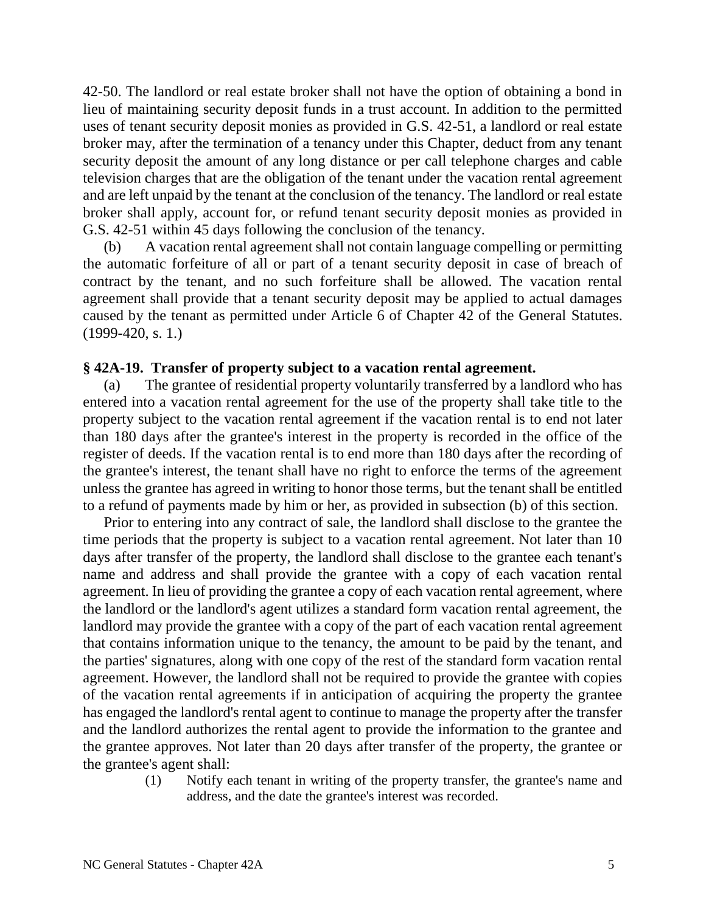42-50. The landlord or real estate broker shall not have the option of obtaining a bond in lieu of maintaining security deposit funds in a trust account. In addition to the permitted uses of tenant security deposit monies as provided in G.S. 42-51, a landlord or real estate broker may, after the termination of a tenancy under this Chapter, deduct from any tenant security deposit the amount of any long distance or per call telephone charges and cable television charges that are the obligation of the tenant under the vacation rental agreement and are left unpaid by the tenant at the conclusion of the tenancy. The landlord or real estate broker shall apply, account for, or refund tenant security deposit monies as provided in G.S. 42-51 within 45 days following the conclusion of the tenancy.

(b) A vacation rental agreement shall not contain language compelling or permitting the automatic forfeiture of all or part of a tenant security deposit in case of breach of contract by the tenant, and no such forfeiture shall be allowed. The vacation rental agreement shall provide that a tenant security deposit may be applied to actual damages caused by the tenant as permitted under Article 6 of Chapter 42 of the General Statutes. (1999-420, s. 1.)

## **§ 42A-19. Transfer of property subject to a vacation rental agreement.**

(a) The grantee of residential property voluntarily transferred by a landlord who has entered into a vacation rental agreement for the use of the property shall take title to the property subject to the vacation rental agreement if the vacation rental is to end not later than 180 days after the grantee's interest in the property is recorded in the office of the register of deeds. If the vacation rental is to end more than 180 days after the recording of the grantee's interest, the tenant shall have no right to enforce the terms of the agreement unless the grantee has agreed in writing to honor those terms, but the tenant shall be entitled to a refund of payments made by him or her, as provided in subsection (b) of this section.

Prior to entering into any contract of sale, the landlord shall disclose to the grantee the time periods that the property is subject to a vacation rental agreement. Not later than 10 days after transfer of the property, the landlord shall disclose to the grantee each tenant's name and address and shall provide the grantee with a copy of each vacation rental agreement. In lieu of providing the grantee a copy of each vacation rental agreement, where the landlord or the landlord's agent utilizes a standard form vacation rental agreement, the landlord may provide the grantee with a copy of the part of each vacation rental agreement that contains information unique to the tenancy, the amount to be paid by the tenant, and the parties' signatures, along with one copy of the rest of the standard form vacation rental agreement. However, the landlord shall not be required to provide the grantee with copies of the vacation rental agreements if in anticipation of acquiring the property the grantee has engaged the landlord's rental agent to continue to manage the property after the transfer and the landlord authorizes the rental agent to provide the information to the grantee and the grantee approves. Not later than 20 days after transfer of the property, the grantee or the grantee's agent shall:

(1) Notify each tenant in writing of the property transfer, the grantee's name and address, and the date the grantee's interest was recorded.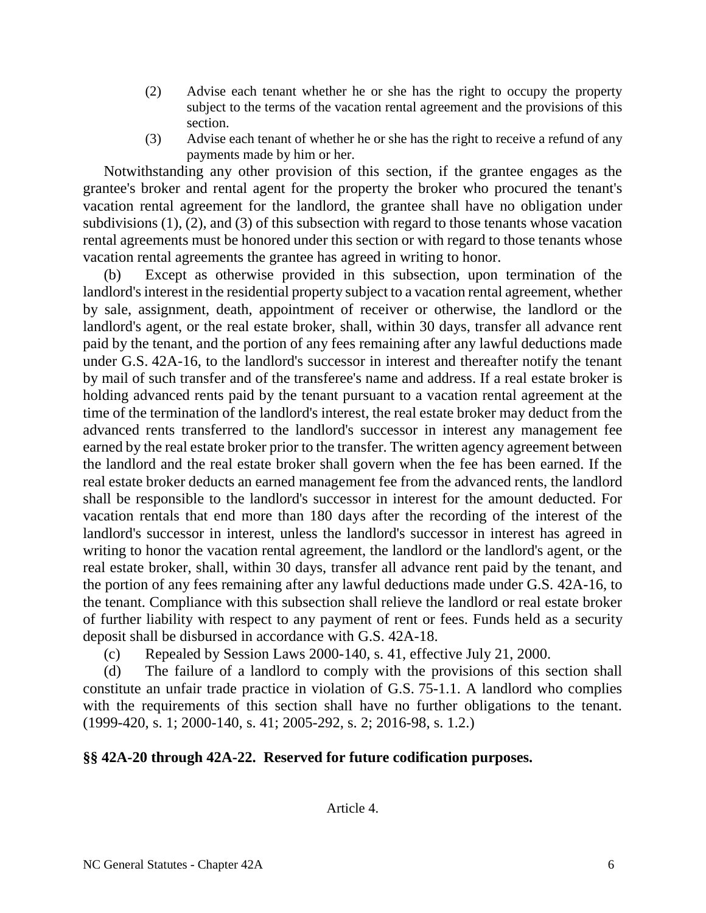- (2) Advise each tenant whether he or she has the right to occupy the property subject to the terms of the vacation rental agreement and the provisions of this section.
- (3) Advise each tenant of whether he or she has the right to receive a refund of any payments made by him or her.

Notwithstanding any other provision of this section, if the grantee engages as the grantee's broker and rental agent for the property the broker who procured the tenant's vacation rental agreement for the landlord, the grantee shall have no obligation under subdivisions (1), (2), and (3) of this subsection with regard to those tenants whose vacation rental agreements must be honored under this section or with regard to those tenants whose vacation rental agreements the grantee has agreed in writing to honor.

(b) Except as otherwise provided in this subsection, upon termination of the landlord's interest in the residential property subject to a vacation rental agreement, whether by sale, assignment, death, appointment of receiver or otherwise, the landlord or the landlord's agent, or the real estate broker, shall, within 30 days, transfer all advance rent paid by the tenant, and the portion of any fees remaining after any lawful deductions made under G.S. 42A-16, to the landlord's successor in interest and thereafter notify the tenant by mail of such transfer and of the transferee's name and address. If a real estate broker is holding advanced rents paid by the tenant pursuant to a vacation rental agreement at the time of the termination of the landlord's interest, the real estate broker may deduct from the advanced rents transferred to the landlord's successor in interest any management fee earned by the real estate broker prior to the transfer. The written agency agreement between the landlord and the real estate broker shall govern when the fee has been earned. If the real estate broker deducts an earned management fee from the advanced rents, the landlord shall be responsible to the landlord's successor in interest for the amount deducted. For vacation rentals that end more than 180 days after the recording of the interest of the landlord's successor in interest, unless the landlord's successor in interest has agreed in writing to honor the vacation rental agreement, the landlord or the landlord's agent, or the real estate broker, shall, within 30 days, transfer all advance rent paid by the tenant, and the portion of any fees remaining after any lawful deductions made under G.S. 42A-16, to the tenant. Compliance with this subsection shall relieve the landlord or real estate broker of further liability with respect to any payment of rent or fees. Funds held as a security deposit shall be disbursed in accordance with G.S. 42A-18.

(c) Repealed by Session Laws 2000-140, s. 41, effective July 21, 2000.

(d) The failure of a landlord to comply with the provisions of this section shall constitute an unfair trade practice in violation of G.S. 75-1.1. A landlord who complies with the requirements of this section shall have no further obligations to the tenant. (1999-420, s. 1; 2000-140, s. 41; 2005-292, s. 2; 2016-98, s. 1.2.)

# **§§ 42A-20 through 42A-22. Reserved for future codification purposes.**

Article 4.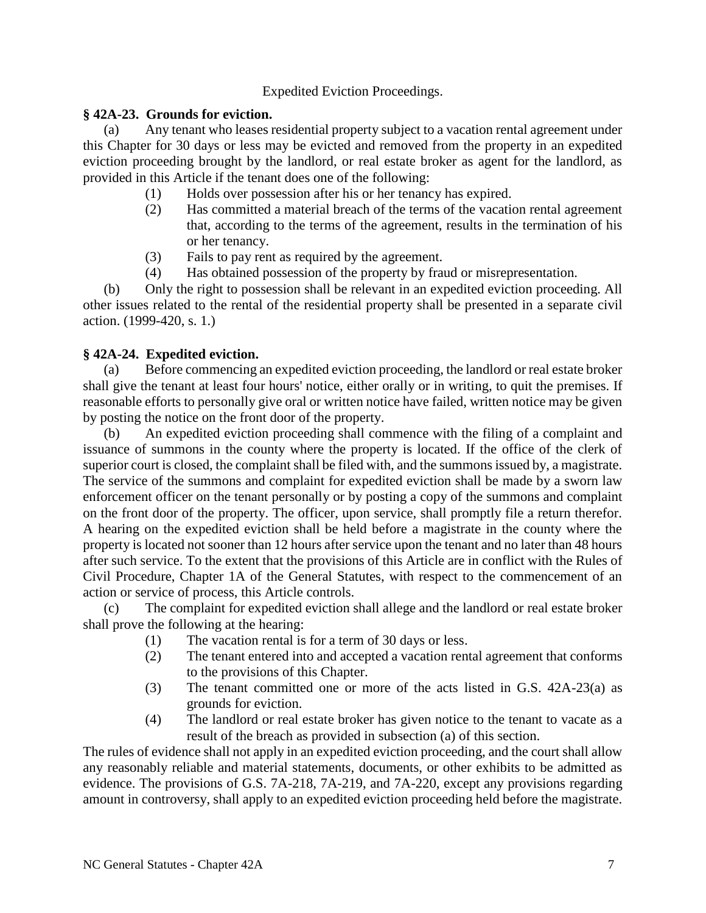## Expedited Eviction Proceedings.

## **§ 42A-23. Grounds for eviction.**

(a) Any tenant who leases residential property subject to a vacation rental agreement under this Chapter for 30 days or less may be evicted and removed from the property in an expedited eviction proceeding brought by the landlord, or real estate broker as agent for the landlord, as provided in this Article if the tenant does one of the following:

- (1) Holds over possession after his or her tenancy has expired.
- (2) Has committed a material breach of the terms of the vacation rental agreement that, according to the terms of the agreement, results in the termination of his or her tenancy.
- (3) Fails to pay rent as required by the agreement.
- (4) Has obtained possession of the property by fraud or misrepresentation.

(b) Only the right to possession shall be relevant in an expedited eviction proceeding. All other issues related to the rental of the residential property shall be presented in a separate civil action. (1999-420, s. 1.)

## **§ 42A-24. Expedited eviction.**

(a) Before commencing an expedited eviction proceeding, the landlord or real estate broker shall give the tenant at least four hours' notice, either orally or in writing, to quit the premises. If reasonable efforts to personally give oral or written notice have failed, written notice may be given by posting the notice on the front door of the property.

(b) An expedited eviction proceeding shall commence with the filing of a complaint and issuance of summons in the county where the property is located. If the office of the clerk of superior court is closed, the complaint shall be filed with, and the summons issued by, a magistrate. The service of the summons and complaint for expedited eviction shall be made by a sworn law enforcement officer on the tenant personally or by posting a copy of the summons and complaint on the front door of the property. The officer, upon service, shall promptly file a return therefor. A hearing on the expedited eviction shall be held before a magistrate in the county where the property is located not sooner than 12 hours after service upon the tenant and no later than 48 hours after such service. To the extent that the provisions of this Article are in conflict with the Rules of Civil Procedure, Chapter 1A of the General Statutes, with respect to the commencement of an action or service of process, this Article controls.

(c) The complaint for expedited eviction shall allege and the landlord or real estate broker shall prove the following at the hearing:

- (1) The vacation rental is for a term of 30 days or less.
- (2) The tenant entered into and accepted a vacation rental agreement that conforms to the provisions of this Chapter.
- (3) The tenant committed one or more of the acts listed in G.S. 42A-23(a) as grounds for eviction.
- (4) The landlord or real estate broker has given notice to the tenant to vacate as a result of the breach as provided in subsection (a) of this section.

The rules of evidence shall not apply in an expedited eviction proceeding, and the court shall allow any reasonably reliable and material statements, documents, or other exhibits to be admitted as evidence. The provisions of G.S. 7A-218, 7A-219, and 7A-220, except any provisions regarding amount in controversy, shall apply to an expedited eviction proceeding held before the magistrate.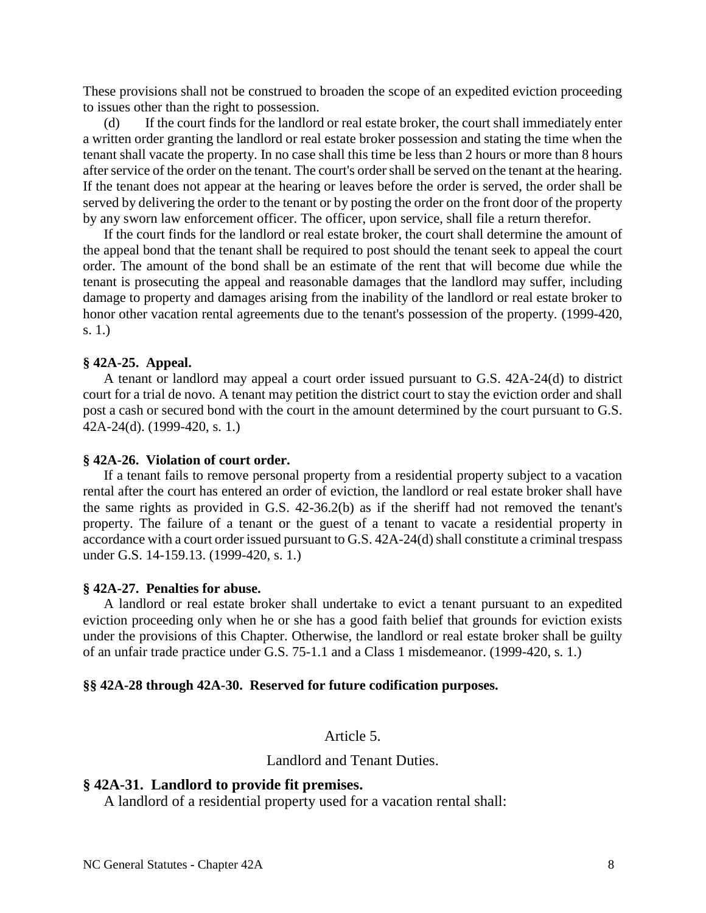These provisions shall not be construed to broaden the scope of an expedited eviction proceeding to issues other than the right to possession.

(d) If the court finds for the landlord or real estate broker, the court shall immediately enter a written order granting the landlord or real estate broker possession and stating the time when the tenant shall vacate the property. In no case shall this time be less than 2 hours or more than 8 hours after service of the order on the tenant. The court's order shall be served on the tenant at the hearing. If the tenant does not appear at the hearing or leaves before the order is served, the order shall be served by delivering the order to the tenant or by posting the order on the front door of the property by any sworn law enforcement officer. The officer, upon service, shall file a return therefor.

If the court finds for the landlord or real estate broker, the court shall determine the amount of the appeal bond that the tenant shall be required to post should the tenant seek to appeal the court order. The amount of the bond shall be an estimate of the rent that will become due while the tenant is prosecuting the appeal and reasonable damages that the landlord may suffer, including damage to property and damages arising from the inability of the landlord or real estate broker to honor other vacation rental agreements due to the tenant's possession of the property. (1999-420, s. 1.)

#### **§ 42A-25. Appeal.**

A tenant or landlord may appeal a court order issued pursuant to G.S. 42A-24(d) to district court for a trial de novo. A tenant may petition the district court to stay the eviction order and shall post a cash or secured bond with the court in the amount determined by the court pursuant to G.S. 42A-24(d). (1999-420, s. 1.)

#### **§ 42A-26. Violation of court order.**

If a tenant fails to remove personal property from a residential property subject to a vacation rental after the court has entered an order of eviction, the landlord or real estate broker shall have the same rights as provided in G.S. 42-36.2(b) as if the sheriff had not removed the tenant's property. The failure of a tenant or the guest of a tenant to vacate a residential property in accordance with a court order issued pursuant to G.S. 42A-24(d) shall constitute a criminal trespass under G.S. 14-159.13. (1999-420, s. 1.)

#### **§ 42A-27. Penalties for abuse.**

A landlord or real estate broker shall undertake to evict a tenant pursuant to an expedited eviction proceeding only when he or she has a good faith belief that grounds for eviction exists under the provisions of this Chapter. Otherwise, the landlord or real estate broker shall be guilty of an unfair trade practice under G.S. 75-1.1 and a Class 1 misdemeanor. (1999-420, s. 1.)

#### **§§ 42A-28 through 42A-30. Reserved for future codification purposes.**

### Article 5.

Landlord and Tenant Duties.

### **§ 42A-31. Landlord to provide fit premises.**

A landlord of a residential property used for a vacation rental shall: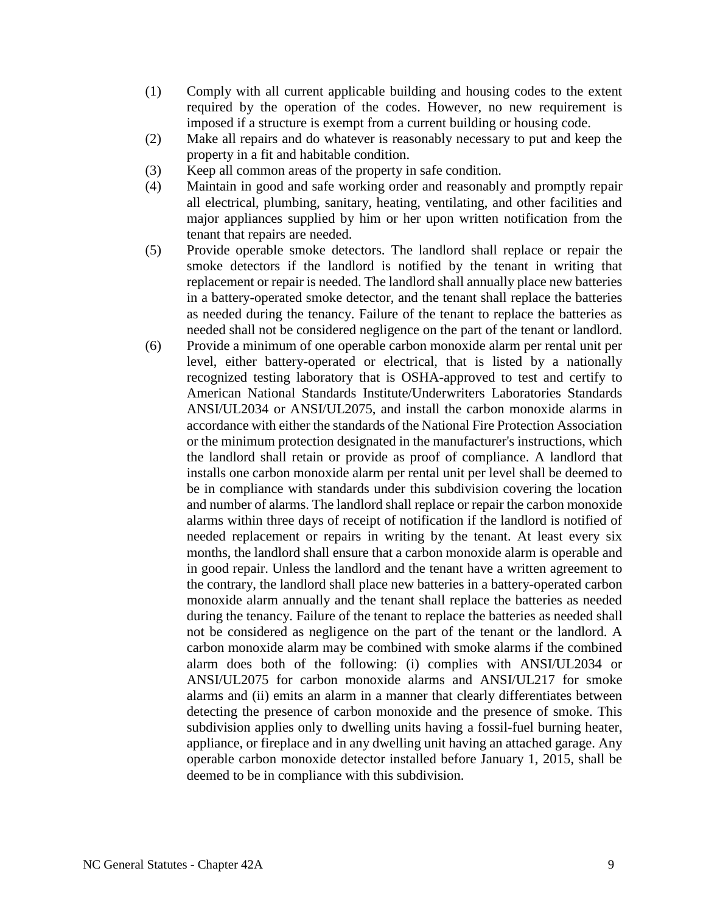- (1) Comply with all current applicable building and housing codes to the extent required by the operation of the codes. However, no new requirement is imposed if a structure is exempt from a current building or housing code.
- (2) Make all repairs and do whatever is reasonably necessary to put and keep the property in a fit and habitable condition.
- (3) Keep all common areas of the property in safe condition.
- (4) Maintain in good and safe working order and reasonably and promptly repair all electrical, plumbing, sanitary, heating, ventilating, and other facilities and major appliances supplied by him or her upon written notification from the tenant that repairs are needed.
- (5) Provide operable smoke detectors. The landlord shall replace or repair the smoke detectors if the landlord is notified by the tenant in writing that replacement or repair is needed. The landlord shall annually place new batteries in a battery-operated smoke detector, and the tenant shall replace the batteries as needed during the tenancy. Failure of the tenant to replace the batteries as needed shall not be considered negligence on the part of the tenant or landlord.
- (6) Provide a minimum of one operable carbon monoxide alarm per rental unit per level, either battery-operated or electrical, that is listed by a nationally recognized testing laboratory that is OSHA-approved to test and certify to American National Standards Institute/Underwriters Laboratories Standards ANSI/UL2034 or ANSI/UL2075, and install the carbon monoxide alarms in accordance with either the standards of the National Fire Protection Association or the minimum protection designated in the manufacturer's instructions, which the landlord shall retain or provide as proof of compliance. A landlord that installs one carbon monoxide alarm per rental unit per level shall be deemed to be in compliance with standards under this subdivision covering the location and number of alarms. The landlord shall replace or repair the carbon monoxide alarms within three days of receipt of notification if the landlord is notified of needed replacement or repairs in writing by the tenant. At least every six months, the landlord shall ensure that a carbon monoxide alarm is operable and in good repair. Unless the landlord and the tenant have a written agreement to the contrary, the landlord shall place new batteries in a battery-operated carbon monoxide alarm annually and the tenant shall replace the batteries as needed during the tenancy. Failure of the tenant to replace the batteries as needed shall not be considered as negligence on the part of the tenant or the landlord. A carbon monoxide alarm may be combined with smoke alarms if the combined alarm does both of the following: (i) complies with ANSI/UL2034 or ANSI/UL2075 for carbon monoxide alarms and ANSI/UL217 for smoke alarms and (ii) emits an alarm in a manner that clearly differentiates between detecting the presence of carbon monoxide and the presence of smoke. This subdivision applies only to dwelling units having a fossil-fuel burning heater, appliance, or fireplace and in any dwelling unit having an attached garage. Any operable carbon monoxide detector installed before January 1, 2015, shall be deemed to be in compliance with this subdivision.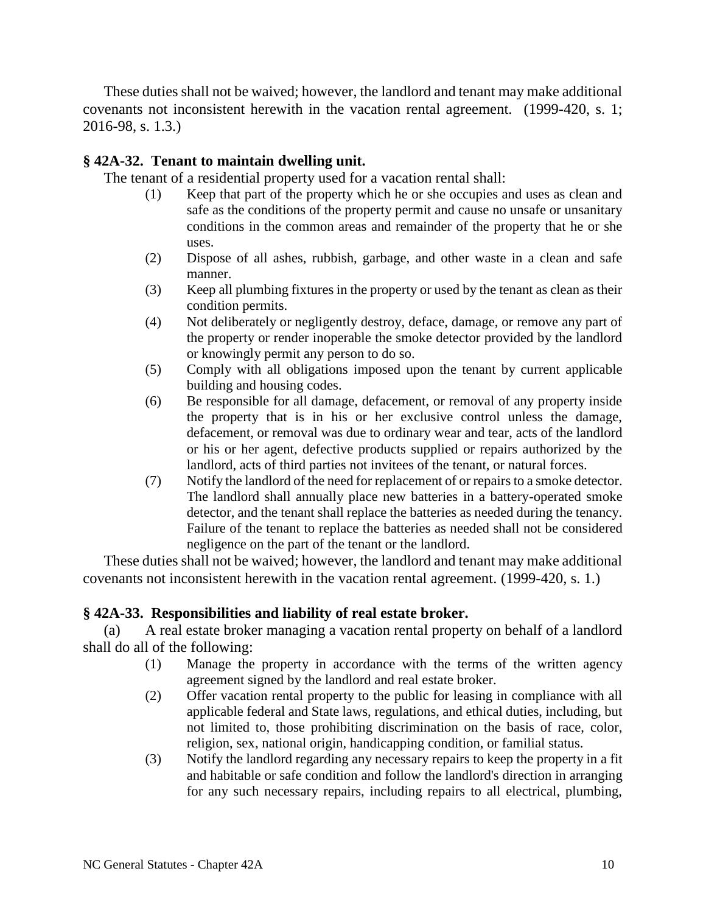These duties shall not be waived; however, the landlord and tenant may make additional covenants not inconsistent herewith in the vacation rental agreement. (1999-420, s. 1; 2016-98, s. 1.3.)

# **§ 42A-32. Tenant to maintain dwelling unit.**

The tenant of a residential property used for a vacation rental shall:

- (1) Keep that part of the property which he or she occupies and uses as clean and safe as the conditions of the property permit and cause no unsafe or unsanitary conditions in the common areas and remainder of the property that he or she uses.
- (2) Dispose of all ashes, rubbish, garbage, and other waste in a clean and safe manner.
- (3) Keep all plumbing fixtures in the property or used by the tenant as clean as their condition permits.
- (4) Not deliberately or negligently destroy, deface, damage, or remove any part of the property or render inoperable the smoke detector provided by the landlord or knowingly permit any person to do so.
- (5) Comply with all obligations imposed upon the tenant by current applicable building and housing codes.
- (6) Be responsible for all damage, defacement, or removal of any property inside the property that is in his or her exclusive control unless the damage, defacement, or removal was due to ordinary wear and tear, acts of the landlord or his or her agent, defective products supplied or repairs authorized by the landlord, acts of third parties not invitees of the tenant, or natural forces.
- (7) Notify the landlord of the need for replacement of or repairs to a smoke detector. The landlord shall annually place new batteries in a battery-operated smoke detector, and the tenant shall replace the batteries as needed during the tenancy. Failure of the tenant to replace the batteries as needed shall not be considered negligence on the part of the tenant or the landlord.

These duties shall not be waived; however, the landlord and tenant may make additional covenants not inconsistent herewith in the vacation rental agreement. (1999-420, s. 1.)

## **§ 42A-33. Responsibilities and liability of real estate broker.**

(a) A real estate broker managing a vacation rental property on behalf of a landlord shall do all of the following:

- (1) Manage the property in accordance with the terms of the written agency agreement signed by the landlord and real estate broker.
- (2) Offer vacation rental property to the public for leasing in compliance with all applicable federal and State laws, regulations, and ethical duties, including, but not limited to, those prohibiting discrimination on the basis of race, color, religion, sex, national origin, handicapping condition, or familial status.
- (3) Notify the landlord regarding any necessary repairs to keep the property in a fit and habitable or safe condition and follow the landlord's direction in arranging for any such necessary repairs, including repairs to all electrical, plumbing,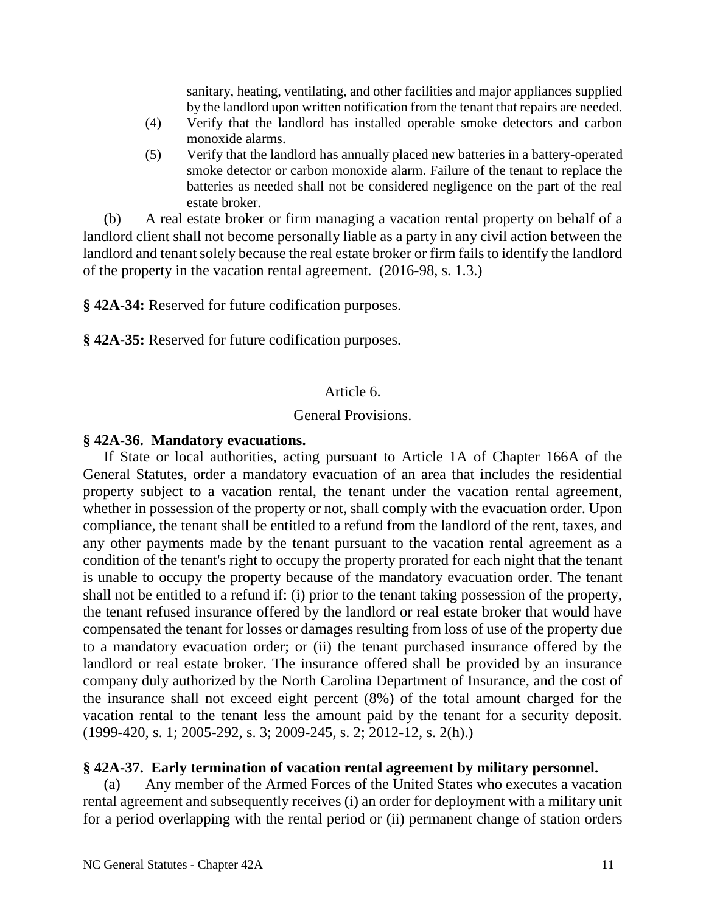sanitary, heating, ventilating, and other facilities and major appliances supplied by the landlord upon written notification from the tenant that repairs are needed.

- (4) Verify that the landlord has installed operable smoke detectors and carbon monoxide alarms.
- (5) Verify that the landlord has annually placed new batteries in a battery-operated smoke detector or carbon monoxide alarm. Failure of the tenant to replace the batteries as needed shall not be considered negligence on the part of the real estate broker.

(b) A real estate broker or firm managing a vacation rental property on behalf of a landlord client shall not become personally liable as a party in any civil action between the landlord and tenant solely because the real estate broker or firm fails to identify the landlord of the property in the vacation rental agreement. (2016-98, s. 1.3.)

**§ 42A-34:** Reserved for future codification purposes.

**§ 42A-35:** Reserved for future codification purposes.

# Article 6.

# General Provisions.

# **§ 42A-36. Mandatory evacuations.**

If State or local authorities, acting pursuant to Article 1A of Chapter 166A of the General Statutes, order a mandatory evacuation of an area that includes the residential property subject to a vacation rental, the tenant under the vacation rental agreement, whether in possession of the property or not, shall comply with the evacuation order. Upon compliance, the tenant shall be entitled to a refund from the landlord of the rent, taxes, and any other payments made by the tenant pursuant to the vacation rental agreement as a condition of the tenant's right to occupy the property prorated for each night that the tenant is unable to occupy the property because of the mandatory evacuation order. The tenant shall not be entitled to a refund if: (i) prior to the tenant taking possession of the property, the tenant refused insurance offered by the landlord or real estate broker that would have compensated the tenant for losses or damages resulting from loss of use of the property due to a mandatory evacuation order; or (ii) the tenant purchased insurance offered by the landlord or real estate broker. The insurance offered shall be provided by an insurance company duly authorized by the North Carolina Department of Insurance, and the cost of the insurance shall not exceed eight percent (8%) of the total amount charged for the vacation rental to the tenant less the amount paid by the tenant for a security deposit. (1999-420, s. 1; 2005-292, s. 3; 2009-245, s. 2; 2012-12, s. 2(h).)

# **§ 42A-37. Early termination of vacation rental agreement by military personnel.**

(a) Any member of the Armed Forces of the United States who executes a vacation rental agreement and subsequently receives (i) an order for deployment with a military unit for a period overlapping with the rental period or (ii) permanent change of station orders